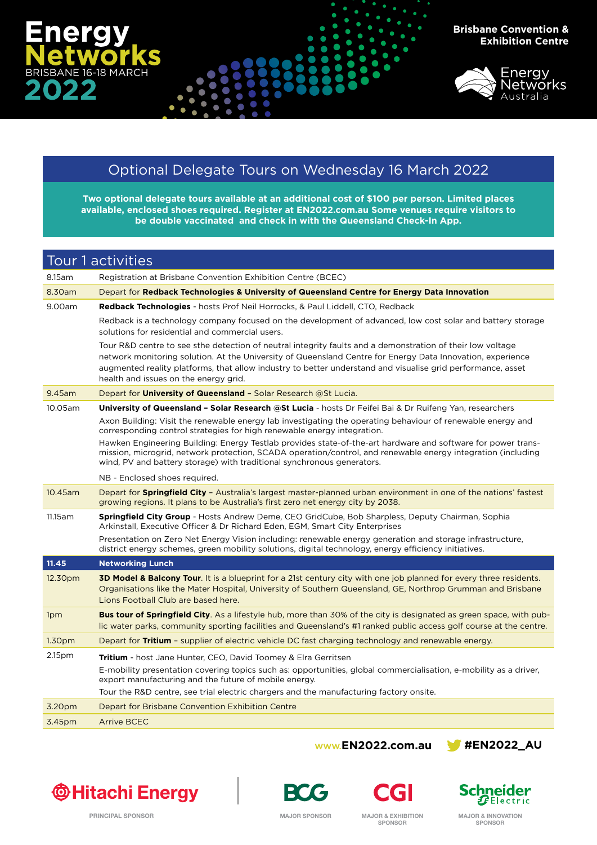



## Optional Delegate Tours on Wednesday 16 March 2022

**Two optional delegate tours available at an additional cost of \$100 per person. Limited places available, enclosed shoes required. Register at [EN2022.com.au](http://www.en2020.com.au) Some venues require visitors to be double vaccinated and check in with the Queensland Check-In App.**

## Tour 1 activities 8.15am Registration at Brisbane Convention Exhibition Centre (BCEC) 8.30am Depart for **Redback Technologies & University of Queensland Centre for Energy Data Innovation** 9.00am **Redback Technologies** - hosts Prof Neil Horrocks, & Paul Liddell, CTO, Redback Redback is a technology company focused on the development of advanced, low cost solar and battery storage solutions for residential and commercial users. Tour R&D centre to see sthe detection of neutral integrity faults and a demonstration of their low voltage network monitoring solution. At the University of Queensland Centre for Energy Data Innovation, experience augmented reality platforms, that allow industry to better understand and visualise grid performance, asset health and issues on the energy grid. 9.45am Depart for **University of Queensland** – Solar Research @St Lucia. 10.05am **University of Queensland – Solar Research @St Lucia** - hosts Dr Feifei Bai & Dr Ruifeng Yan, researchers Axon Building: Visit the renewable energy lab investigating the operating behaviour of renewable energy and corresponding control strategies for high renewable energy integration. Hawken Engineering Building: Energy Testlab provides state-of-the-art hardware and software for power transmission, microgrid, network protection, SCADA operation/control, and renewable energy integration (including wind, PV and battery storage) with traditional synchronous generators. NB - Enclosed shoes required. 10.45am Depart for **Springfield City** – Australia's largest master-planned urban environment in one of the nations' fastest growing regions. It plans to be Australia's first zero net energy city by 2038. 11.15am **Springfield City Group** - Hosts Andrew Deme, CEO GridCube, Bob Sharpless, Deputy Chairman, Sophia Arkinstall, Executive Officer & Dr Richard Eden, EGM, Smart City Enterprises Presentation on Zero Net Energy Vision including: renewable energy generation and storage infrastructure, district energy schemes, green mobility solutions, digital technology, energy efficiency initiatives. **11.45 Networking Lunch** 12.30pm **3D Model & Balcony Tour**. It is a blueprint for a 21st century city with one job planned for every three residents. Organisations like the Mater Hospital, University of Southern Queensland, GE, Northrop Grumman and Brisbane Lions Football Club are based here. 1pm **Bus tour of Springfield City**. As a lifestyle hub, more than 30% of the city is designated as green space, with public water parks, community sporting facilities and Queensland's #1 ranked public access golf course at the centre. 1.30pm Depart for **Tritium** – supplier of electric vehicle DC fast charging technology and renewable energy. 2.15pm **Tritium** - host Jane Hunter, CEO, David Toomey & Elra Gerritsen E-mobility presentation covering topics such as: opportunities, global commercialisation, e-mobility as a driver, export manufacturing and the future of mobile energy. Tour the R&D centre, see trial electric chargers and the manufacturing factory onsite. 3.20pm Depart for Brisbane Convention Exhibition Centre 3.45pm Arrive BCEC

## **[WWW.EN2022.com.au](http://www.en2020.com.au) [#EN2022\\_AU](https://twitter.com/EN2020_AU)**











**MAJOR SPONSOR MAJOR & INNOVATION SPONSOR**

**SPONSOR**